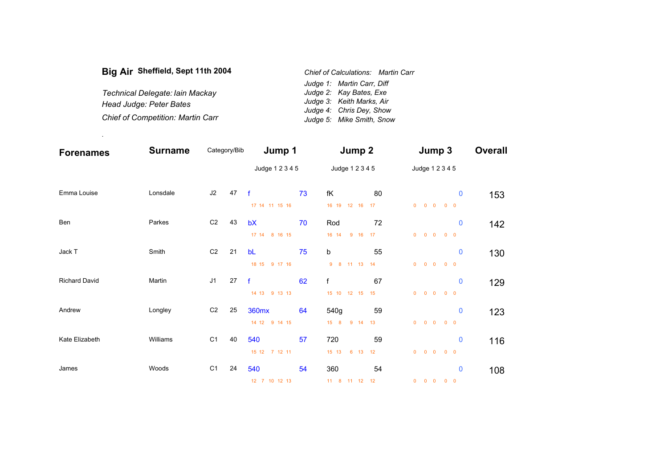| Big Air Sheffield, Sept 11th 2004        | Chief of Calculations: Martin Carr |
|------------------------------------------|------------------------------------|
|                                          | Judge 1: Martin Carr, Diff         |
| Technical Delegate: Iain Mackay          | Judge 2: Kay Bates, Exe            |
| Head Judge: Peter Bates                  | Judge 3: Keith Marks, Air          |
|                                          | Judge 4: Chris Dey, Show           |
| <b>Chief of Competition: Martin Carr</b> | Judge 5: Mike Smith, Snow          |

.

| <b>Forenames</b>     | <b>Surname</b> | Category/Bib   |                 | Jump 1                         |    | Jump 2                          |          | Jump 3                                                    | <b>Overall</b> |
|----------------------|----------------|----------------|-----------------|--------------------------------|----|---------------------------------|----------|-----------------------------------------------------------|----------------|
|                      |                |                | Judge 1 2 3 4 5 | Judge 1 2 3 4 5                |    | Judge 1 2 3 4 5                 |          |                                                           |                |
| Emma Louise          | Lonsdale       | J2             | 47              | $\mathbf{f}$<br>17 14 11 15 16 | 73 | fK<br>16 19 12 16               | 80<br>17 | $\bf{0}$<br>$0\quad 0$<br>$0\quad 0$<br>$\mathbf{0}$      | 153            |
| Ben                  | Parkes         | C <sub>2</sub> | 43              | bX<br>17 14 8 16 15            | 70 | Rod<br>16 14<br>9 16 17         | 72       | $\bf{0}$<br>$\overline{0}$<br>$0\quad 0\quad 0\quad 0$    | 142            |
| Jack T               | Smith          | C <sub>2</sub> | 21              | bL<br>18 15 9 17 16            | 75 | b<br>9 8 11 13 14               | 55       | $\bf{0}$<br>$\overline{0}$<br>$0\quad 0\quad 0\quad 0$    | 130            |
| <b>Richard David</b> | Martin         | J <sub>1</sub> | 27              | $-f$<br>14 13 9 13 13          | 62 | $\mathsf{f}$<br>15 10 12 15 15  | 67       | $\bf{0}$<br>$0\quad 0$<br>$\mathbf{0}$<br>$0\quad 0$      | 129            |
| Andrew               | Longley        | C <sub>2</sub> | 25              | 360mx<br>14 12 9 14 15         | 64 | 540g<br>9 14 13<br>$15 \quad 8$ | 59       | $\bf{0}$<br>$0\quad 0$<br>$\overline{0}$<br>$0\quad 0$    | 123            |
| Kate Elizabeth       | Williams       | C <sub>1</sub> | 40              | 540<br>15 12 7 12 11           | 57 | 720<br>15 13<br>6 13 12         | 59       | $\mathbf 0$<br>$\overline{0}$<br>$0\quad 0$<br>$0\quad 0$ | 116            |
| James                | Woods          | C <sub>1</sub> | 24              | 540<br>12 7 10 12 13           | 54 | 360<br>11 8 11 12 12            | 54       | $\bf{0}$<br>$\overline{0}$<br>$0\quad 0$<br>$0\quad 0$    | 108            |